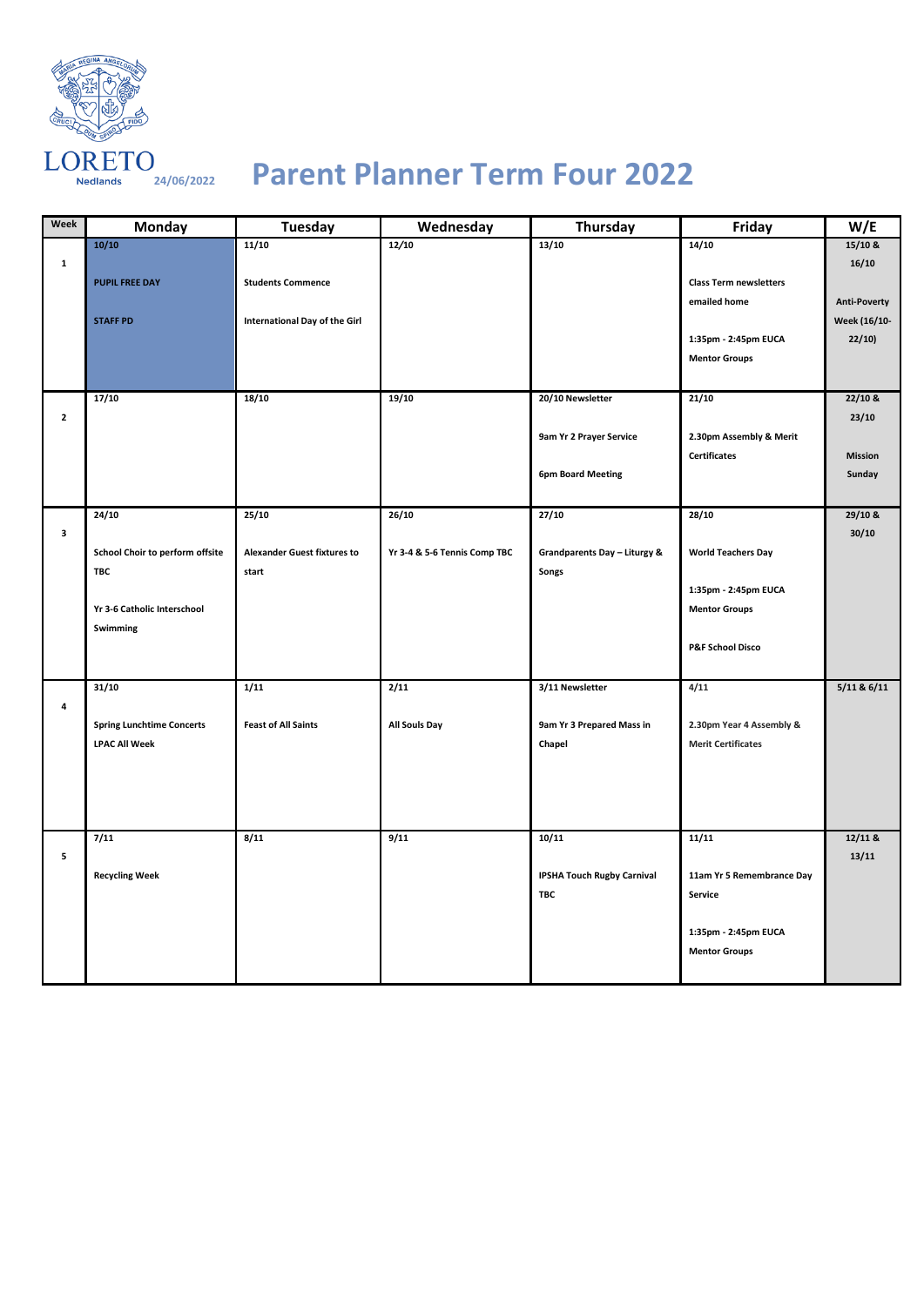

## **24/06/2022 Parent Planner Term Four 2022**

| Week         | Monday                           | Tuesday                            | Wednesday                    | Thursday                          | Friday                        | W/E                 |
|--------------|----------------------------------|------------------------------------|------------------------------|-----------------------------------|-------------------------------|---------------------|
|              | 10/10                            | 11/10                              | 12/10                        | 13/10                             | 14/10                         | $15/10$ &           |
| $\mathbf{1}$ |                                  |                                    |                              |                                   |                               | 16/10               |
|              | <b>PUPIL FREE DAY</b>            | <b>Students Commence</b>           |                              |                                   | <b>Class Term newsletters</b> |                     |
|              |                                  |                                    |                              |                                   | emailed home                  | <b>Anti-Poverty</b> |
|              | <b>STAFF PD</b>                  | International Day of the Girl      |                              |                                   |                               | Week (16/10-        |
|              |                                  |                                    |                              |                                   | 1:35pm - 2:45pm EUCA          | 22/10               |
|              |                                  |                                    |                              |                                   | <b>Mentor Groups</b>          |                     |
|              |                                  |                                    |                              |                                   |                               |                     |
|              | 17/10                            | 18/10                              | 19/10                        | 20/10 Newsletter                  | 21/10                         | $22/10$ &           |
| $\mathbf{2}$ |                                  |                                    |                              |                                   |                               | 23/10               |
|              |                                  |                                    |                              | 9am Yr 2 Prayer Service           | 2.30pm Assembly & Merit       |                     |
|              |                                  |                                    |                              |                                   | <b>Certificates</b>           | <b>Mission</b>      |
|              |                                  |                                    |                              | <b>6pm Board Meeting</b>          |                               | Sunday              |
|              |                                  |                                    |                              |                                   |                               |                     |
|              | 24/10                            | 25/10                              | 26/10                        | 27/10                             | 28/10                         | 29/10 &             |
| 3            |                                  |                                    |                              |                                   |                               | 30/10               |
|              | School Choir to perform offsite  | <b>Alexander Guest fixtures to</b> | Yr 3-4 & 5-6 Tennis Comp TBC | Grandparents Day - Liturgy &      | <b>World Teachers Day</b>     |                     |
|              | <b>TBC</b>                       | start                              |                              | Songs                             |                               |                     |
|              |                                  |                                    |                              |                                   | 1:35pm - 2:45pm EUCA          |                     |
|              | Yr 3-6 Catholic Interschool      |                                    |                              |                                   | <b>Mentor Groups</b>          |                     |
|              | Swimming                         |                                    |                              |                                   |                               |                     |
|              |                                  |                                    |                              |                                   | <b>P&amp;F School Disco</b>   |                     |
|              |                                  |                                    |                              |                                   |                               |                     |
|              | 31/10                            | 1/11                               | 2/11                         | 3/11 Newsletter                   | 4/11                          | $5/11$ & $6/11$     |
| 4            |                                  |                                    |                              |                                   |                               |                     |
|              | <b>Spring Lunchtime Concerts</b> | <b>Feast of All Saints</b>         | <b>All Souls Day</b>         | 9am Yr 3 Prepared Mass in         | 2.30pm Year 4 Assembly &      |                     |
|              | <b>LPAC All Week</b>             |                                    |                              | Chapel                            | <b>Merit Certificates</b>     |                     |
|              |                                  |                                    |                              |                                   |                               |                     |
|              |                                  |                                    |                              |                                   |                               |                     |
|              |                                  |                                    |                              |                                   |                               |                     |
|              |                                  |                                    |                              |                                   |                               |                     |
|              | 7/11                             | 8/11                               | 9/11                         | 10/11                             | 11/11                         | 12/11 &             |
| 5            |                                  |                                    |                              |                                   |                               | 13/11               |
|              | <b>Recycling Week</b>            |                                    |                              | <b>IPSHA Touch Rugby Carnival</b> | 11am Yr 5 Remembrance Day     |                     |
|              |                                  |                                    |                              | TBC                               | Service                       |                     |
|              |                                  |                                    |                              |                                   |                               |                     |
|              |                                  |                                    |                              |                                   | 1:35pm - 2:45pm EUCA          |                     |
|              |                                  |                                    |                              |                                   | <b>Mentor Groups</b>          |                     |
|              |                                  |                                    |                              |                                   |                               |                     |